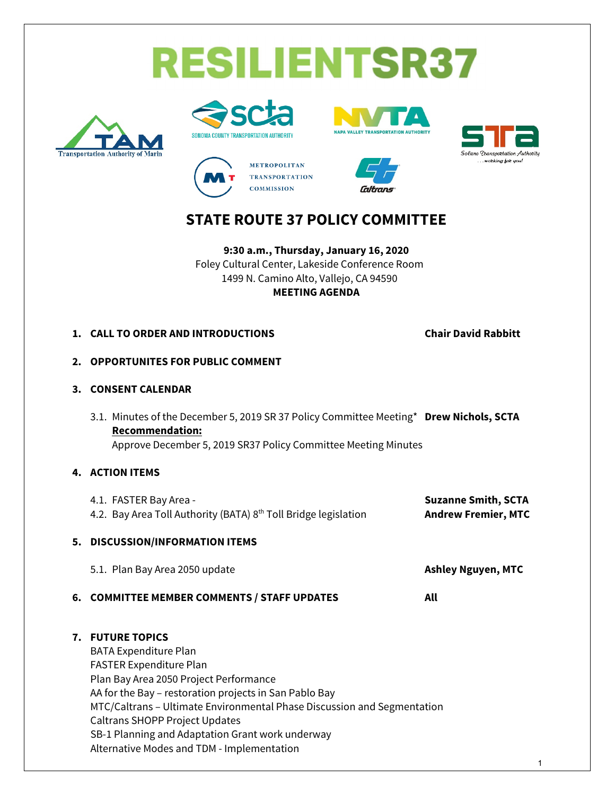





**METROPOLITAN TRANSPORTATION COMMISSION** 





## **STATE ROUTE 37 POLICY COMMITTEE**

**9:30 a.m., Thursday, January 16, 2020** Foley Cultural Center, Lakeside Conference Room 1499 N. Camino Alto, Vallejo, CA 94590 **MEETING AGENDA**

**1. CALL TO ORDER AND INTRODUCTIONS Chair David Rabbitt**

- **2. OPPORTUNITES FOR PUBLIC COMMENT**
- **3. CONSENT CALENDAR**
	- 3.1. Minutes of the December 5, 2019 SR 37 Policy Committee Meeting\* **Drew Nichols, SCTA Recommendation:** Approve December 5, 2019 SR37 Policy Committee Meeting Minutes

#### **4. ACTION ITEMS**

| 4.1. FASTER Bay Area -<br>4.2. Bay Area Toll Authority (BATA) 8 <sup>th</sup> Toll Bridge legislation | <b>Suzanne Smith, SCTA</b><br><b>Andrew Fremier, MTC</b> |  |
|-------------------------------------------------------------------------------------------------------|----------------------------------------------------------|--|
| 5. DISCUSSION/INFORMATION ITEMS                                                                       |                                                          |  |
| 5.1. Plan Bay Area 2050 update                                                                        | <b>Ashley Nguyen, MTC</b>                                |  |
| 6. COMMITTEE MEMBER COMMENTS / STAFF UPDATES                                                          | All                                                      |  |

#### **7. FUTURE TOPICS**

BATA Expenditure Plan FASTER Expenditure Plan Plan Bay Area 2050 Project Performance AA for the Bay – restoration projects in San Pablo Bay MTC/Caltrans – Ultimate Environmental Phase Discussion and Segmentation Caltrans SHOPP Project Updates SB-1 Planning and Adaptation Grant work underway Alternative Modes and TDM - Implementation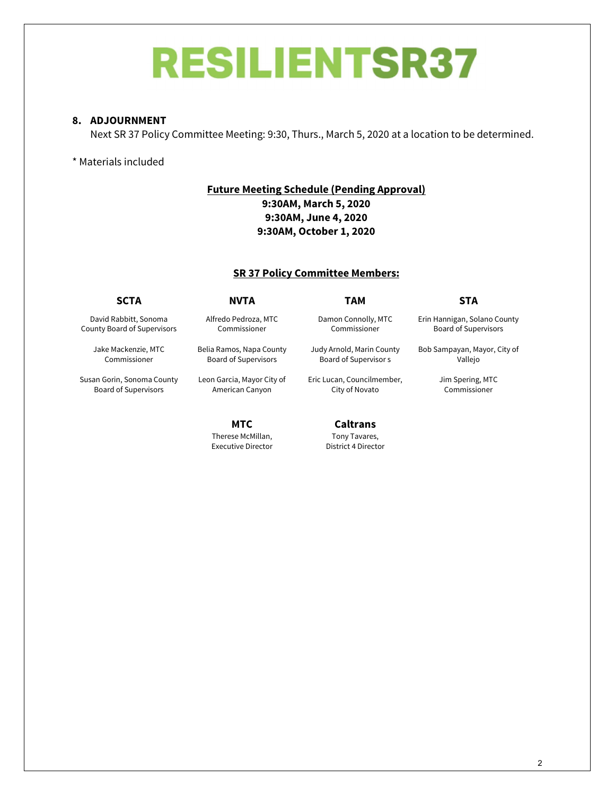## **RESILIENTSR37**

#### **8. ADJOURNMENT**

Next SR 37 Policy Committee Meeting: 9:30, Thurs., March 5, 2020 at a location to be determined.

#### \* Materials included

#### **Future Meeting Schedule (Pending Approval) 9:30AM, March 5, 2020 9:30AM, June 4, 2020 9:30AM, October 1, 2020**

#### **SR 37 Policy Committee Members:**

David Rabbitt, Sonoma County Board of Supervisors

> Jake Mackenzie, MTC Commissioner

Susan Gorin, Sonoma County Board of Supervisors

Alfredo Pedroza, MTC Commissioner

Belia Ramos, Napa County Board of Supervisors

Leon Garcia, Mayor City of American Canyon

> **MTC** Therese McMillan, Executive Director

**SCTA NVTA TAM STA**

Damon Connolly, MTC Commissioner

Judy Arnold, Marin County Board of Supervisor s

Eric Lucan, Councilmember, City of Novato

> **Caltrans** Tony Tavares, District 4 Director

Erin Hannigan, Solano County Board of Supervisors

Bob Sampayan, Mayor, City of Vallejo

> Jim Spering, MTC Commissioner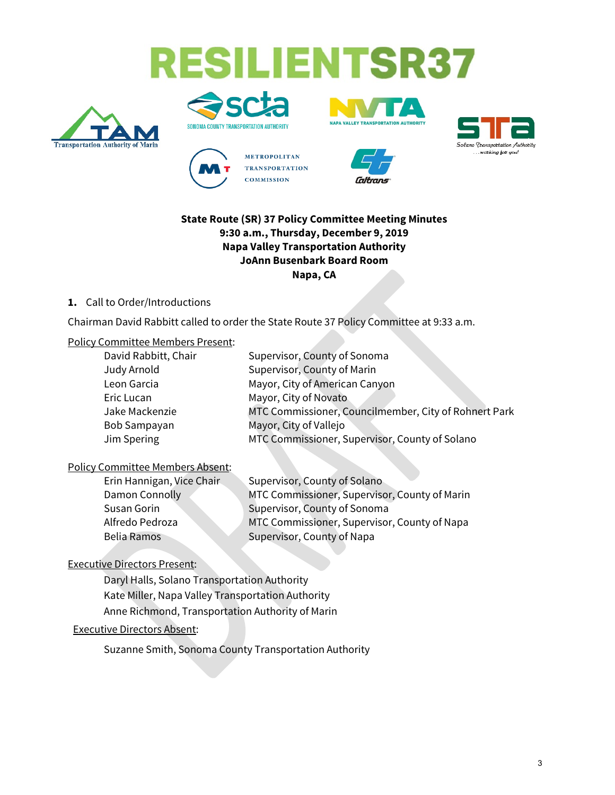# **RESILIENTSR37**













### **State Route (SR) 37 Policy Committee Meeting Minutes 9:30 a.m., Thursday, December 9, 2019 Napa Valley Transportation Authority JoAnn Busenbark Board Room Napa, CA**

#### **1.** Call to Order/Introductions

Chairman David Rabbitt called to order the State Route 37 Policy Committee at 9:33 a.m.

#### Policy Committee Members Present:

| Supervisor, County of Sonoma                          |
|-------------------------------------------------------|
| Supervisor, County of Marin                           |
| Mayor, City of American Canyon                        |
| Mayor, City of Novato                                 |
| MTC Commissioner, Councilmember, City of Rohnert Park |
| Mayor, City of Vallejo                                |
| MTC Commissioner, Supervisor, County of Solano        |
|                                                       |

## Policy Committee Members Absent:

| Erin Hannigan, Vice Chair | Supervisor, County of Solano                  |
|---------------------------|-----------------------------------------------|
| Damon Connolly            | MTC Commissioner, Supervisor, County of Marin |
| Susan Gorin               | Supervisor, County of Sonoma                  |
| Alfredo Pedroza           | MTC Commissioner, Supervisor, County of Napa  |
| <b>Belia Ramos</b>        | Supervisor, County of Napa                    |
|                           |                                               |

## Executive Directors Present:

Daryl Halls, Solano Transportation Authority Kate Miller, Napa Valley Transportation Authority Anne Richmond, Transportation Authority of Marin

#### Executive Directors Absent:

Suzanne Smith, Sonoma County Transportation Authority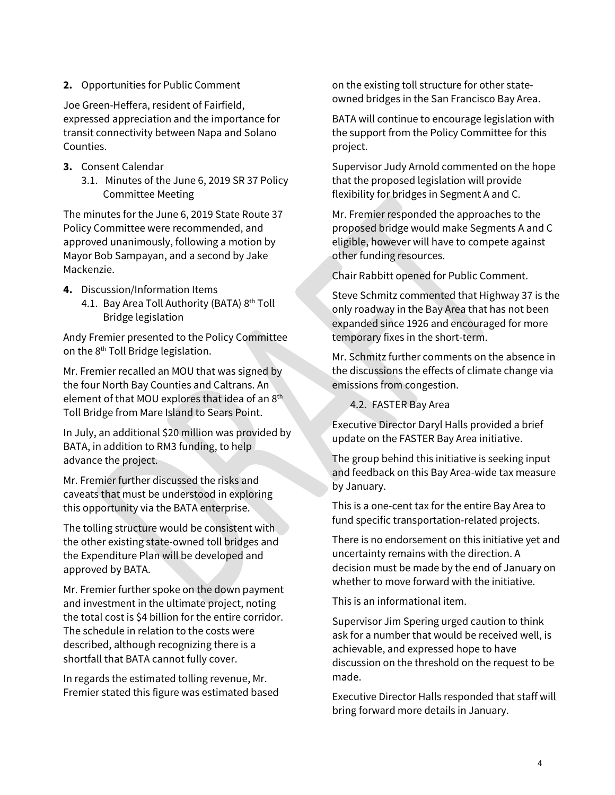#### **2.** Opportunities for Public Comment

Joe Green-Heffera, resident of Fairfield, expressed appreciation and the importance for transit connectivity between Napa and Solano Counties.

- **3.** Consent Calendar
	- 3.1. Minutes of the June 6, 2019 SR 37 Policy Committee Meeting

The minutes for the June 6, 2019 State Route 37 Policy Committee were recommended, and approved unanimously, following a motion by Mayor Bob Sampayan, and a second by Jake Mackenzie.

- **4.** Discussion/Information Items
	- 4.1. Bay Area Toll Authority (BATA) 8<sup>th</sup> Toll Bridge legislation

Andy Fremier presented to the Policy Committee on the 8<sup>th</sup> Toll Bridge legislation.

Mr. Fremier recalled an MOU that was signed by the four North Bay Counties and Caltrans. An element of that MOU explores that idea of an 8<sup>th</sup> Toll Bridge from Mare Island to Sears Point.

In July, an additional \$20 million was provided by BATA, in addition to RM3 funding, to help advance the project.

Mr. Fremier further discussed the risks and caveats that must be understood in exploring this opportunity via the BATA enterprise.

The tolling structure would be consistent with the other existing state-owned toll bridges and the Expenditure Plan will be developed and approved by BATA.

Mr. Fremier further spoke on the down payment and investment in the ultimate project, noting the total cost is \$4 billion for the entire corridor. The schedule in relation to the costs were described, although recognizing there is a shortfall that BATA cannot fully cover.

In regards the estimated tolling revenue, Mr. Fremier stated this figure was estimated based on the existing toll structure for other stateowned bridges in the San Francisco Bay Area.

BATA will continue to encourage legislation with the support from the Policy Committee for this project.

Supervisor Judy Arnold commented on the hope that the proposed legislation will provide flexibility for bridges in Segment A and C.

Mr. Fremier responded the approaches to the proposed bridge would make Segments A and C eligible, however will have to compete against other funding resources.

Chair Rabbitt opened for Public Comment.

Steve Schmitz commented that Highway 37 is the only roadway in the Bay Area that has not been expanded since 1926 and encouraged for more temporary fixes in the short-term.

Mr. Schmitz further comments on the absence in the discussions the effects of climate change via emissions from congestion.

4.2. FASTER Bay Area

Executive Director Daryl Halls provided a brief update on the FASTER Bay Area initiative.

The group behind this initiative is seeking input and feedback on this Bay Area-wide tax measure by January.

This is a one-cent tax for the entire Bay Area to fund specific transportation-related projects.

There is no endorsement on this initiative yet and uncertainty remains with the direction. A decision must be made by the end of January on whether to move forward with the initiative.

This is an informational item.

Supervisor Jim Spering urged caution to think ask for a number that would be received well, is achievable, and expressed hope to have discussion on the threshold on the request to be made.

Executive Director Halls responded that staff will bring forward more details in January.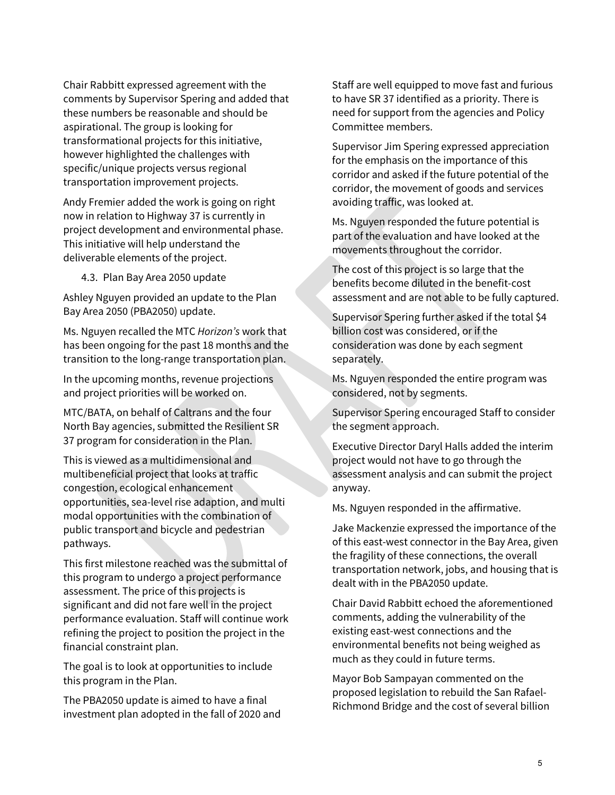Chair Rabbitt expressed agreement with the comments by Supervisor Spering and added that these numbers be reasonable and should be aspirational. The group is looking for transformational projects for this initiative, however highlighted the challenges with specific/unique projects versus regional transportation improvement projects.

Andy Fremier added the work is going on right now in relation to Highway 37 is currently in project development and environmental phase. This initiative will help understand the deliverable elements of the project.

4.3. Plan Bay Area 2050 update

Ashley Nguyen provided an update to the Plan Bay Area 2050 (PBA2050) update.

Ms. Nguyen recalled the MTC *Horizon's* work that has been ongoing for the past 18 months and the transition to the long-range transportation plan.

In the upcoming months, revenue projections and project priorities will be worked on.

MTC/BATA, on behalf of Caltrans and the four North Bay agencies, submitted the Resilient SR 37 program for consideration in the Plan.

This is viewed as a multidimensional and multibeneficial project that looks at traffic congestion, ecological enhancement opportunities, sea-level rise adaption, and multi modal opportunities with the combination of public transport and bicycle and pedestrian pathways.

This first milestone reached was the submittal of this program to undergo a project performance assessment. The price of this projects is significant and did not fare well in the project performance evaluation. Staff will continue work refining the project to position the project in the financial constraint plan.

The goal is to look at opportunities to include this program in the Plan.

The PBA2050 update is aimed to have a final investment plan adopted in the fall of 2020 and Staff are well equipped to move fast and furious to have SR 37 identified as a priority. There is need for support from the agencies and Policy Committee members.

Supervisor Jim Spering expressed appreciation for the emphasis on the importance of this corridor and asked if the future potential of the corridor, the movement of goods and services avoiding traffic, was looked at.

Ms. Nguyen responded the future potential is part of the evaluation and have looked at the movements throughout the corridor.

The cost of this project is so large that the benefits become diluted in the benefit-cost assessment and are not able to be fully captured.

Supervisor Spering further asked if the total \$4 billion cost was considered, or if the consideration was done by each segment separately.

Ms. Nguyen responded the entire program was considered, not by segments.

Supervisor Spering encouraged Staff to consider the segment approach.

Executive Director Daryl Halls added the interim project would not have to go through the assessment analysis and can submit the project anyway.

Ms. Nguyen responded in the affirmative.

Jake Mackenzie expressed the importance of the of this east-west connector in the Bay Area, given the fragility of these connections, the overall transportation network, jobs, and housing that is dealt with in the PBA2050 update.

Chair David Rabbitt echoed the aforementioned comments, adding the vulnerability of the existing east-west connections and the environmental benefits not being weighed as much as they could in future terms.

Mayor Bob Sampayan commented on the proposed legislation to rebuild the San Rafael-Richmond Bridge and the cost of several billion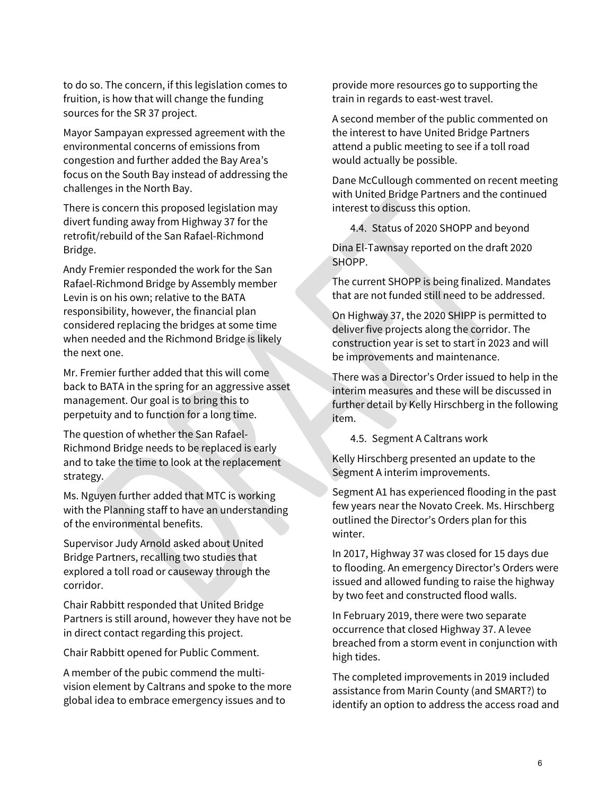to do so. The concern, if this legislation comes to fruition, is how that will change the funding sources for the SR 37 project.

Mayor Sampayan expressed agreement with the environmental concerns of emissions from congestion and further added the Bay Area's focus on the South Bay instead of addressing the challenges in the North Bay.

There is concern this proposed legislation may divert funding away from Highway 37 for the retrofit/rebuild of the San Rafael-Richmond Bridge.

Andy Fremier responded the work for the San Rafael-Richmond Bridge by Assembly member Levin is on his own; relative to the BATA responsibility, however, the financial plan considered replacing the bridges at some time when needed and the Richmond Bridge is likely the next one.

Mr. Fremier further added that this will come back to BATA in the spring for an aggressive asset management. Our goal is to bring this to perpetuity and to function for a long time.

The question of whether the San Rafael-Richmond Bridge needs to be replaced is early and to take the time to look at the replacement strategy.

Ms. Nguyen further added that MTC is working with the Planning staff to have an understanding of the environmental benefits.

Supervisor Judy Arnold asked about United Bridge Partners, recalling two studies that explored a toll road or causeway through the corridor.

Chair Rabbitt responded that United Bridge Partners is still around, however they have not be in direct contact regarding this project.

Chair Rabbitt opened for Public Comment.

A member of the pubic commend the multivision element by Caltrans and spoke to the more global idea to embrace emergency issues and to

provide more resources go to supporting the train in regards to east-west travel.

A second member of the public commented on the interest to have United Bridge Partners attend a public meeting to see if a toll road would actually be possible.

Dane McCullough commented on recent meeting with United Bridge Partners and the continued interest to discuss this option.

4.4. Status of 2020 SHOPP and beyond

Dina El-Tawnsay reported on the draft 2020 SHOPP.

The current SHOPP is being finalized. Mandates that are not funded still need to be addressed.

On Highway 37, the 2020 SHIPP is permitted to deliver five projects along the corridor. The construction year is set to start in 2023 and will be improvements and maintenance.

There was a Director's Order issued to help in the interim measures and these will be discussed in further detail by Kelly Hirschberg in the following item.

4.5. Segment A Caltrans work

Kelly Hirschberg presented an update to the Segment A interim improvements.

Segment A1 has experienced flooding in the past few years near the Novato Creek. Ms. Hirschberg outlined the Director's Orders plan for this winter.

In 2017, Highway 37 was closed for 15 days due to flooding. An emergency Director's Orders were issued and allowed funding to raise the highway by two feet and constructed flood walls.

In February 2019, there were two separate occurrence that closed Highway 37. A levee breached from a storm event in conjunction with high tides.

The completed improvements in 2019 included assistance from Marin County (and SMART?) to identify an option to address the access road and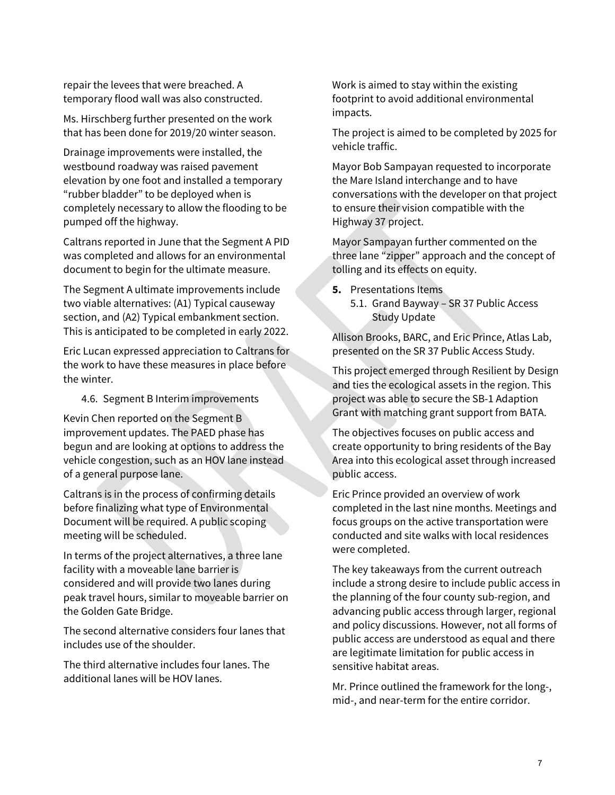repair the levees that were breached. A temporary flood wall was also constructed.

Ms. Hirschberg further presented on the work that has been done for 2019/20 winter season.

Drainage improvements were installed, the westbound roadway was raised pavement elevation by one foot and installed a temporary "rubber bladder" to be deployed when is completely necessary to allow the flooding to be pumped off the highway.

Caltrans reported in June that the Segment A PID was completed and allows for an environmental document to begin for the ultimate measure.

The Segment A ultimate improvements include two viable alternatives: (A1) Typical causeway section, and (A2) Typical embankment section. This is anticipated to be completed in early 2022.

Eric Lucan expressed appreciation to Caltrans for the work to have these measures in place before the winter.

#### 4.6. Segment B Interim improvements

Kevin Chen reported on the Segment B improvement updates. The PAED phase has begun and are looking at options to address the vehicle congestion, such as an HOV lane instead of a general purpose lane.

Caltrans is in the process of confirming details before finalizing what type of Environmental Document will be required. A public scoping meeting will be scheduled.

In terms of the project alternatives, a three lane facility with a moveable lane barrier is considered and will provide two lanes during peak travel hours, similar to moveable barrier on the Golden Gate Bridge.

The second alternative considers four lanes that includes use of the shoulder.

The third alternative includes four lanes. The additional lanes will be HOV lanes.

Work is aimed to stay within the existing footprint to avoid additional environmental impacts.

The project is aimed to be completed by 2025 for vehicle traffic.

Mayor Bob Sampayan requested to incorporate the Mare Island interchange and to have conversations with the developer on that project to ensure their vision compatible with the Highway 37 project.

Mayor Sampayan further commented on the three lane "zipper" approach and the concept of tolling and its effects on equity.

- **5.** Presentations Items
	- 5.1. Grand Bayway SR 37 Public Access Study Update

Allison Brooks, BARC, and Eric Prince, Atlas Lab, presented on the SR 37 Public Access Study.

This project emerged through Resilient by Design and ties the ecological assets in the region. This project was able to secure the SB-1 Adaption Grant with matching grant support from BATA.

The objectives focuses on public access and create opportunity to bring residents of the Bay Area into this ecological asset through increased public access.

Eric Prince provided an overview of work completed in the last nine months. Meetings and focus groups on the active transportation were conducted and site walks with local residences were completed.

The key takeaways from the current outreach include a strong desire to include public access in the planning of the four county sub-region, and advancing public access through larger, regional and policy discussions. However, not all forms of public access are understood as equal and there are legitimate limitation for public access in sensitive habitat areas.

Mr. Prince outlined the framework for the long-, mid-, and near-term for the entire corridor.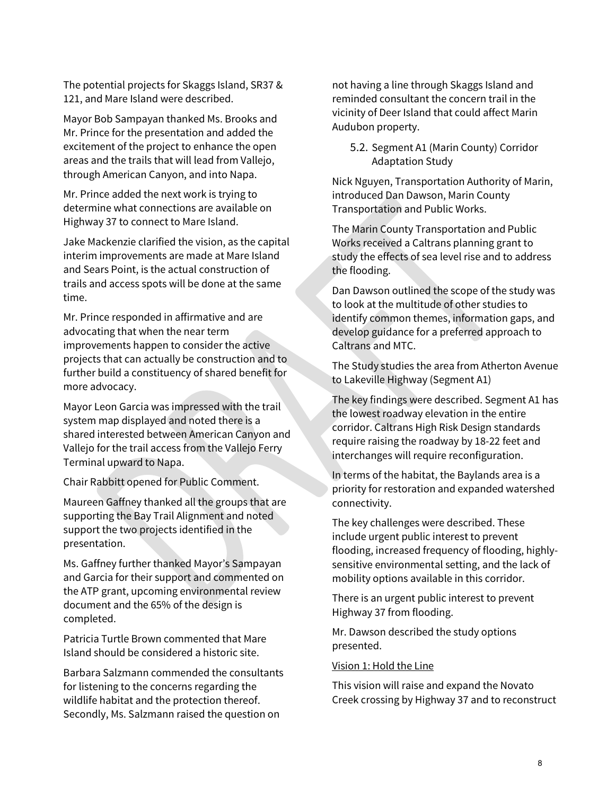The potential projects for Skaggs Island, SR37 & 121, and Mare Island were described.

Mayor Bob Sampayan thanked Ms. Brooks and Mr. Prince for the presentation and added the excitement of the project to enhance the open areas and the trails that will lead from Vallejo, through American Canyon, and into Napa.

Mr. Prince added the next work is trying to determine what connections are available on Highway 37 to connect to Mare Island.

Jake Mackenzie clarified the vision, as the capital interim improvements are made at Mare Island and Sears Point, is the actual construction of trails and access spots will be done at the same time.

Mr. Prince responded in affirmative and are advocating that when the near term improvements happen to consider the active projects that can actually be construction and to further build a constituency of shared benefit for more advocacy.

Mayor Leon Garcia was impressed with the trail system map displayed and noted there is a shared interested between American Canyon and Vallejo for the trail access from the Vallejo Ferry Terminal upward to Napa.

Chair Rabbitt opened for Public Comment.

Maureen Gaffney thanked all the groups that are supporting the Bay Trail Alignment and noted support the two projects identified in the presentation.

Ms. Gaffney further thanked Mayor's Sampayan and Garcia for their support and commented on the ATP grant, upcoming environmental review document and the 65% of the design is completed.

Patricia Turtle Brown commented that Mare Island should be considered a historic site.

Barbara Salzmann commended the consultants for listening to the concerns regarding the wildlife habitat and the protection thereof. Secondly, Ms. Salzmann raised the question on

not having a line through Skaggs Island and reminded consultant the concern trail in the vicinity of Deer Island that could affect Marin Audubon property.

5.2. Segment A1 (Marin County) Corridor Adaptation Study

Nick Nguyen, Transportation Authority of Marin, introduced Dan Dawson, Marin County Transportation and Public Works.

The Marin County Transportation and Public Works received a Caltrans planning grant to study the effects of sea level rise and to address the flooding.

Dan Dawson outlined the scope of the study was to look at the multitude of other studies to identify common themes, information gaps, and develop guidance for a preferred approach to Caltrans and MTC.

The Study studies the area from Atherton Avenue to Lakeville Highway (Segment A1)

The key findings were described. Segment A1 has the lowest roadway elevation in the entire corridor. Caltrans High Risk Design standards require raising the roadway by 18-22 feet and interchanges will require reconfiguration.

In terms of the habitat, the Baylands area is a priority for restoration and expanded watershed connectivity.

The key challenges were described. These include urgent public interest to prevent flooding, increased frequency of flooding, highlysensitive environmental setting, and the lack of mobility options available in this corridor.

There is an urgent public interest to prevent Highway 37 from flooding.

Mr. Dawson described the study options presented.

#### Vision 1: Hold the Line

This vision will raise and expand the Novato Creek crossing by Highway 37 and to reconstruct